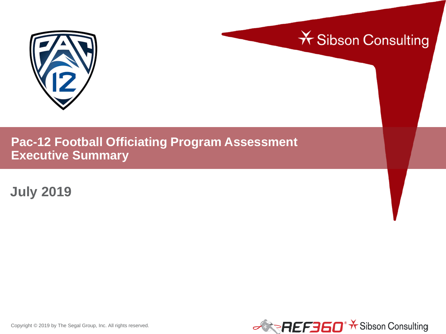



# **Pac-12 Football Officiating Program Assessment Executive Summary**

**July 2019**



Copyright © 2019 by The Segal Group, Inc. All rights reserved.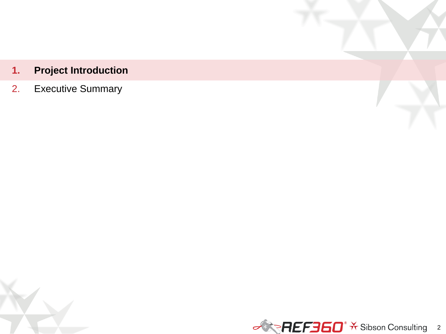# **1. Project Introduction**

2. Executive Summary

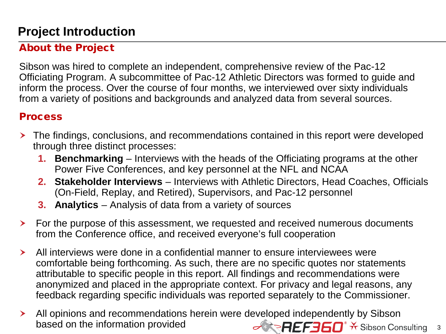# **Project Introduction**

## About the Project

Sibson was hired to complete an independent, comprehensive review of the Pac-12 Officiating Program. A subcommittee of Pac-12 Athletic Directors was formed to guide and inform the process. Over the course of four months, we interviewed over sixty individuals from a variety of positions and backgrounds and analyzed data from several sources.

#### **Process**

- The findings, conclusions, and recommendations contained in this report were developed through three distinct processes:
	- **1. Benchmarking** Interviews with the heads of the Officiating programs at the other Power Five Conferences, and key personnel at the NFL and NCAA
	- **2. Stakeholder Interviews**  Interviews with Athletic Directors, Head Coaches, Officials (On-Field, Replay, and Retired), Supervisors, and Pac-12 personnel
	- **3. Analytics**  Analysis of data from a variety of sources
- For the purpose of this assessment, we requested and received numerous documents from the Conference office, and received everyone's full cooperation
- All interviews were done in a confidential manner to ensure interviewees were comfortable being forthcoming. As such, there are no specific quotes nor statements attributable to specific people in this report. All findings and recommendations were anonymized and placed in the appropriate context. For privacy and legal reasons, any feedback regarding specific individuals was reported separately to the Commissioner.
- **REFEGO**<sup>\*</sup> \* Sibson Consulting 3 All opinions and recommendations herein were developed independently by Sibson based on the information provided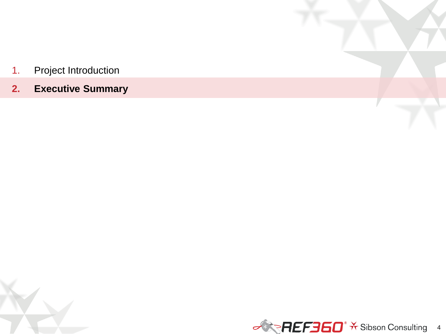- 1. Project Introduction
- **2. Executive Summary**

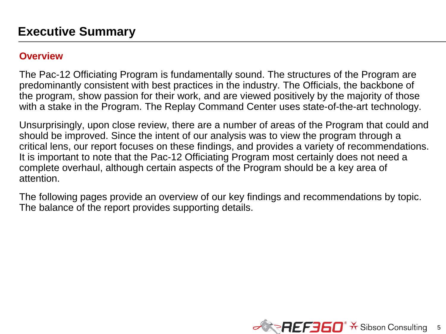#### **Overview**

The Pac-12 Officiating Program is fundamentally sound. The structures of the Program are predominantly consistent with best practices in the industry. The Officials, the backbone of the program, show passion for their work, and are viewed positively by the majority of those with a stake in the Program. The Replay Command Center uses state-of-the-art technology.

Unsurprisingly, upon close review, there are a number of areas of the Program that could and should be improved. Since the intent of our analysis was to view the program through a critical lens, our report focuses on these findings, and provides a variety of recommendations. It is important to note that the Pac-12 Officiating Program most certainly does not need a complete overhaul, although certain aspects of the Program should be a key area of attention.

The following pages provide an overview of our key findings and recommendations by topic. The balance of the report provides supporting details.

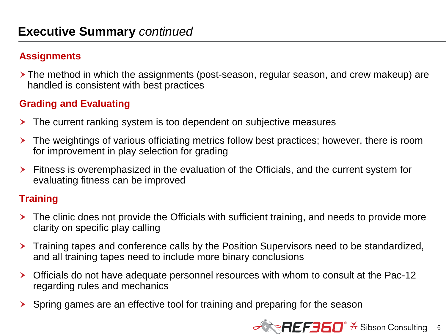#### **Assignments**

 The method in which the assignments (post-season, regular season, and crew makeup) are handled is consistent with best practices

#### **Grading and Evaluating**

- **The current ranking system is too dependent on subjective measures**
- The weightings of various officiating metrics follow best practices; however, there is room for improvement in play selection for grading
- Fitness is overemphasized in the evaluation of the Officials, and the current system for evaluating fitness can be improved

#### **Training**

- > The clinic does not provide the Officials with sufficient training, and needs to provide more clarity on specific play calling
- Training tapes and conference calls by the Position Supervisors need to be standardized, and all training tapes need to include more binary conclusions
- Officials do not have adequate personnel resources with whom to consult at the Pac-12 regarding rules and mechanics
- Spring games are an effective tool for training and preparing for the season

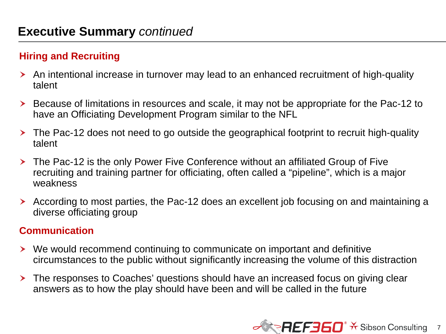### **Hiring and Recruiting**

- An intentional increase in turnover may lead to an enhanced recruitment of high-quality talent
- Because of limitations in resources and scale, it may not be appropriate for the Pac-12 to have an Officiating Development Program similar to the NFL
- The Pac-12 does not need to go outside the geographical footprint to recruit high-quality talent
- The Pac-12 is the only Power Five Conference without an affiliated Group of Five recruiting and training partner for officiating, often called a "pipeline", which is a major weakness
- According to most parties, the Pac-12 does an excellent job focusing on and maintaining a diverse officiating group

#### **Communication**

- We would recommend continuing to communicate on important and definitive circumstances to the public without significantly increasing the volume of this distraction
- **The responses to Coaches' questions should have an increased focus on giving clear** answers as to how the play should have been and will be called in the future

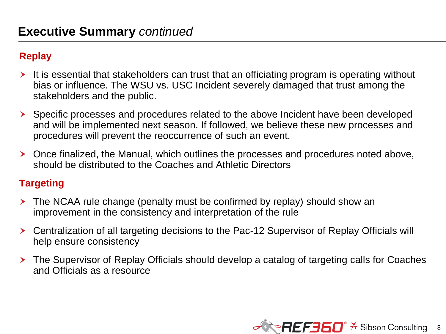### **Replay**

- $\triangleright$  It is essential that stakeholders can trust that an officiating program is operating without bias or influence. The WSU vs. USC Incident severely damaged that trust among the stakeholders and the public.
- Specific processes and procedures related to the above Incident have been developed and will be implemented next season. If followed, we believe these new processes and procedures will prevent the reoccurrence of such an event.
- Once finalized, the Manual, which outlines the processes and procedures noted above, should be distributed to the Coaches and Athletic Directors

#### **Targeting**

- The NCAA rule change (penalty must be confirmed by replay) should show an improvement in the consistency and interpretation of the rule
- Centralization of all targeting decisions to the Pac-12 Supervisor of Replay Officials will help ensure consistency
- The Supervisor of Replay Officials should develop a catalog of targeting calls for Coaches and Officials as a resource

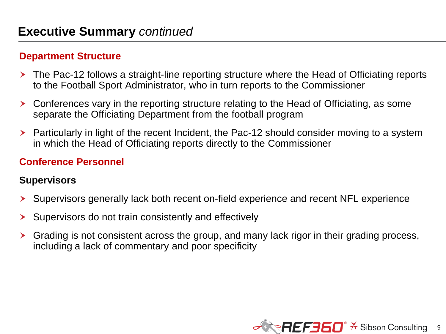#### **Department Structure**

- The Pac-12 follows a straight-line reporting structure where the Head of Officiating reports to the Football Sport Administrator, who in turn reports to the Commissioner
- Conferences vary in the reporting structure relating to the Head of Officiating, as some separate the Officiating Department from the football program
- Particularly in light of the recent Incident, the Pac-12 should consider moving to a system in which the Head of Officiating reports directly to the Commissioner

#### **Conference Personnel**

#### **Supervisors**

- Supervisors generally lack both recent on-field experience and recent NFL experience
- $\triangleright$  Supervisors do not train consistently and effectively
- Grading is not consistent across the group, and many lack rigor in their grading process, including a lack of commentary and poor specificity